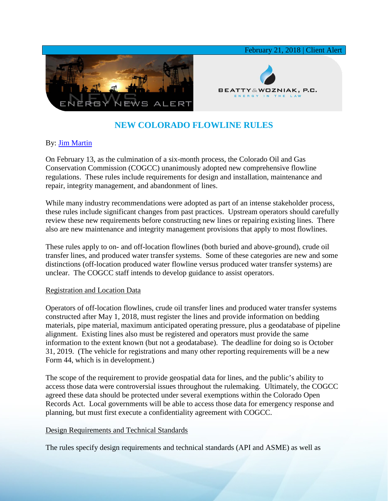

# **NEW COLORADO FLOWLINE RULES**

## By: [Jim Martin](https://www.bwenergylaw.com/jim-martin)

On February 13, as the culmination of a six-month process, the Colorado Oil and Gas Conservation Commission (COGCC) unanimously adopted new comprehensive flowline regulations. These rules include requirements for design and installation, maintenance and repair, integrity management, and abandonment of lines.

While many industry recommendations were adopted as part of an intense stakeholder process, these rules include significant changes from past practices. Upstream operators should carefully review these new requirements before constructing new lines or repairing existing lines. There also are new maintenance and integrity management provisions that apply to most flowlines.

These rules apply to on- and off-location flowlines (both buried and above-ground), crude oil transfer lines, and produced water transfer systems. Some of these categories are new and some distinctions (off-location produced water flowline versus produced water transfer systems) are unclear. The COGCC staff intends to develop guidance to assist operators.

#### Registration and Location Data

Operators of off-location flowlines, crude oil transfer lines and produced water transfer systems constructed after May 1, 2018, must register the lines and provide information on bedding materials, pipe material, maximum anticipated operating pressure, plus a geodatabase of pipeline alignment. Existing lines also must be registered and operators must provide the same information to the extent known (but not a geodatabase). The deadline for doing so is October 31, 2019. (The vehicle for registrations and many other reporting requirements will be a new Form 44, which is in development.)

The scope of the requirement to provide geospatial data for lines, and the public's ability to access those data were controversial issues throughout the rulemaking. Ultimately, the COGCC agreed these data should be protected under several exemptions within the Colorado Open Records Act. Local governments will be able to access those data for emergency response and planning, but must first execute a confidentiality agreement with COGCC.

#### Design Requirements and Technical Standards

The rules specify design requirements and technical standards (API and ASME) as well as